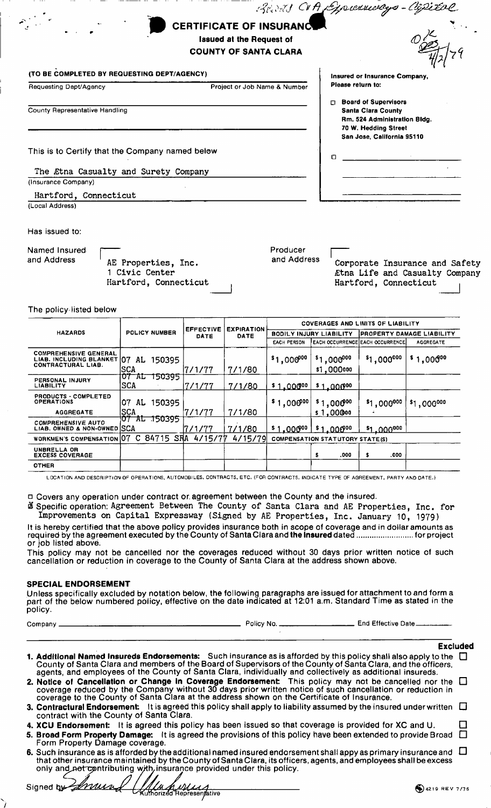| $\bullet$ | CERTIFICATE OF INSURANCUL       |  |
|-----------|---------------------------------|--|
|           | <b>Issued at the Request of</b> |  |
|           | <b>COUNTY OF SANTA CLARA</b>    |  |
|           |                                 |  |

#### (TO BE COMPLETED BY REQUESTING DEPT/AGENCY)

| Requesting Dept/Agency |  |
|------------------------|--|
|------------------------|--|

Project or Job Name & Number

Board"

County Representative Handling

This is to Certify that the Company named below

The Etna Casualty and Surety Company (Insurance Company)

Hartford, Connecticut (Local Address)

#### Has issued to:

Named Insured and Address

AE Properties, Inc. 1 Civic Center Hartford, Connecticut Producer and Address

Iprennessy

Please return to:

 $\mathsf{m}$ 

**Insured or Insurance Company** 

**D** Board of Supervisors

**Santa Clara County** 

Rm. 524 Administration Bldg. 70 W. Hedding Street San Jose, California 95110

Corporate Insurance and Safety Etna Life and Casualty Company Hartford, Connecticut

# The policy listed below

|                                                                                         |                            | <b>EFFECTIVE</b><br>DATE | <b>EXPIRATION</b><br>DATE | <b>COVERAGES AND LIMITS OF LIABILITY</b> |                                        |                                        |                  |
|-----------------------------------------------------------------------------------------|----------------------------|--------------------------|---------------------------|------------------------------------------|----------------------------------------|----------------------------------------|------------------|
| <b>HAZARDS</b>                                                                          | <b>POLICY NUMBER</b>       |                          |                           | <b>BODILY INJURY LIABILITY</b>           |                                        | <b>PROPERTY DAMAGE LIABILITY</b>       |                  |
|                                                                                         |                            |                          |                           | <b>EACH PERSON</b>                       |                                        | <b>EACH OCCURRENCE EACH OCCURRENCE</b> | <b>AGGREGATE</b> |
| <b>COMPREHENSIVE GENERAL</b><br>LIAB. INCLUDING BLANKET 07<br><b>CONTRACTURAL LIAB.</b> | 150395<br>AL.<br>ISCA      | 17/1/77                  | 7/1/80                    | $$1,000^{00}$                            | $$1,000^{000}$<br>\$1,000000           | $$1,000^{000}$                         | $$1,000^{00}$    |
| <b>PERSONAL INJURY</b><br><b>LIABILITY</b>                                              | 150395<br>וט<br>AГ<br>ISCA | 17/1/77                  | 7/1/80                    | \$1.00000                                | $$1.000^{00}$                          |                                        |                  |
| PRODUCTS - COMPLETED<br><b>OPERATIONS</b>                                               | 150395<br>07<br>AL         |                          |                           | $$1,000^{00}$                            | $$1,000^{00}$                          | \$1,000000                             | \$1,000000       |
| <b>AGGREGATE</b>                                                                        | ISCA                       | 7/1/77                   | 7/1/80                    |                                          | \$1,00000                              |                                        |                  |
| <b>COMPREHENSIVE AUTO</b><br>LIAB. OWNED & NON-OWNED SCA                                | 150395<br>רסו<br>ᄑ         | 17/1/77                  | 7/1/80                    | \$1,000%                                 | $$1.000^{00}$                          | .000000<br>-51                         |                  |
| WORKMEN'S COMPENSATION 07 C 84715                                                       | SRA                        | 4/15/77                  | 4/15/79                   |                                          | <b>COMPENSATION STATUTORY STATE(S)</b> |                                        |                  |
| UNBRELLA OR<br><b>EXCESS COVERAGE</b>                                                   |                            |                          |                           |                                          | s<br>.000                              | .000<br>s                              |                  |
| <b>OTHER</b>                                                                            |                            |                          |                           |                                          |                                        |                                        |                  |

LOCATION AND DESCRIPTION OF OPERATIONS, AUTOMOBILES, CONTRACTS, ETC. (FOR CONTRACTS, INDICATE TYPE OF AGREEMENT, PARTY AND DATE.)

□ Covers any operation under contract or agreement between the County and the insured.

B Specific operation: Agreement Between The County of Santa Clara and AE Properties, Inc. for<br>Improvements on Capital Expressway (Signed by AE Properties, Inc. January 10, 1979)

It is hereby certified that the above policy provides insurance both in scope of coverage and in dollar amounts as<br>required by the agreement executed by the County of Santa Clara and the insured dated ..................... or job listed above.

This policy may not be cancelled nor the coverages reduced without 30 days prior written notice of such cancellation or reduction in coverage to the County of Santa Clara at the address shown above.

## **SPECIAL ENDORSEMENT**

Unless specifically excluded by notation below, the following paragraphs are issued for attachment to and form a part of the below numbered policy, effective on the date indicated at 12:01 a.m. Standard Time as stated in the policy.

Company \_

Policy No. . \_\_\_ End Effective Date\_

# **Excluded**

| 1. Additional Named Insureds Endorsements: Such insurance as is afforded by this policy shall also apply to the |  |
|-----------------------------------------------------------------------------------------------------------------|--|
| County of Santa Clara and members of the Board of Supervisors of the County of Santa Clara, and the officers,   |  |
| agents, and employees of the County of Santa Clara, individually and collectively as additional insureds.       |  |
| 2. Notice of Cancellation or Change in Coverage Endorsement: This policy may not be cancelled nor the $\Box$    |  |

|  | <b>2. Notice of Cancellation or Change in Coverage Endorsement:</b> This policy may not be cancelled nor the t |                                                                                                           |  |
|--|----------------------------------------------------------------------------------------------------------------|-----------------------------------------------------------------------------------------------------------|--|
|  |                                                                                                                | coverage reduced by the Company without 30 days prior written notice of such cancellation or reduction in |  |
|  | coverage to the County of Santa Clara at the address shown on the Certificate of Insurance.                    |                                                                                                           |  |

- 3. Contractural Endorsement: It is agreed this policy shall apply to liability assumed by the insured under written  $\Box$  contract with the County of Santa Clara.  $\Box$
- 4. XCU Endorsement: It is agreed this policy has been issued so that coverage is provided for XC and U.
- 5. Broad Form Property Damage: It is agreed the provisions of this policy have been extended to provide Broad  $\Box$ Form Property Damage coverage.
- 6. Such insurance as is afforded by the additional named insured endorsement shall appy as primary insurance and  $\;\;\Box$ that other insurance maintained by the County of Santa Clara, its officers, agents, and employees shall be excess only and not contributing with, insurance provided under this policy.

Signed by mun *MIM AMILA*<br>Kuthorized Representative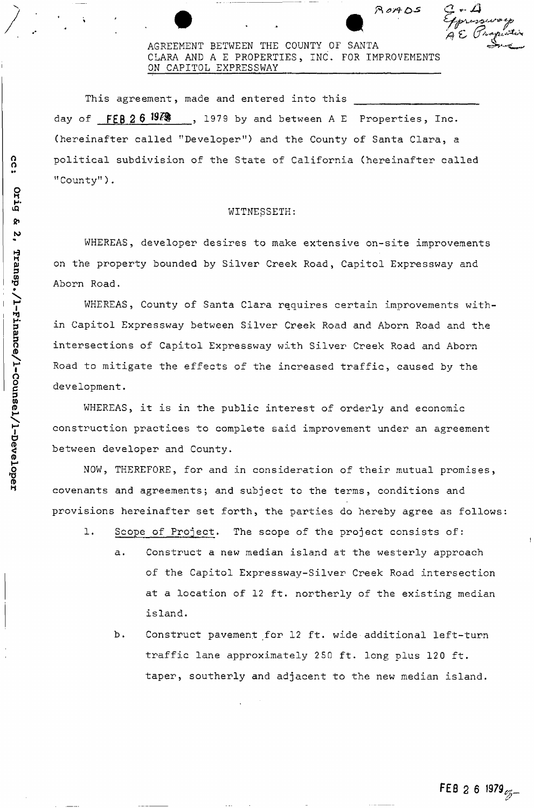# ^ ft *astO^* C

( t **W** 

AGREEMENT BETWEEN THE COUNTY OF SANTA CLARA AND A E PROPERTIES , INC. FOR IMPROVEMENTS ON CAPITOL EXPRESSWAY

**W**A*A* 

This agreement, made and entered into this day of FEB 2 6 <sup>1979</sup> , 1979 by and between A E Properties, Inc. (hereinafter called "Developer") and the County of Santa Clara, a political subdivision of the State of California (hereinafter called "County").

## WITNESSETH:

WHEREAS, developer desires to make extensive on-site improvements on the property bounded by Silver Creek Road, Capitol Expressway and Aborn Road.

WHEREAS, County of Santa Clara requires certain improvements within Capitol Expressway between Silver Creek Road and Aborn Road and the intersections of Capitol Expressway with Silver Creek Road and Aborn Road to mitigate the effects of the increased traffic, caused by the development.

WHEREAS, it is in the public interest of orderly and economic construction practices to complete said improvement under an agreement between developer and County.

NOW, THEREFORE, for and in consideration of their mutual promises, covenants and agreements; and subject to the terms, conditions and provisions hereinafter set forth, the parties do hereby agree as follows

- 1. Scope of Project. The scope of the project consists of:
	- a. Construct a new median island at the westerly approach of the Capitol Expressway-Silver Creek Road intersection at a location of 12 ft. northerly of the existing median island.
	- b. Construct pavement for 12 ft. wide additional left-turn traffic lane approximately 250 ft. long plus 120 ft. taper, southerly and adjacent to the new median island.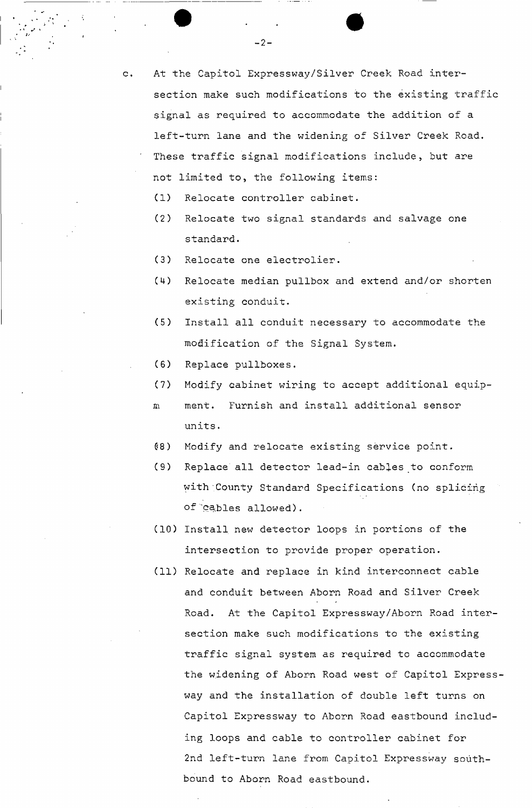- c. At the Capitol Expressway/Silver Creek Road intersection make such modifications to the existing traffic signal as required to accommodate the addition of a left-turn lane and the widening of Silver Creek Road. These traffic signal modifications include, but are not limited to, the following items:
	- (1) Relocate controller cabinet.
	- (2) Relocate two signal standards and salvage one standard.
	- (3) Relocate one electrolier.
	- (4) Relocate median pullbox and extend and/or shorten existing conduit.
	- (5) Install all conduit necessary to accommodate the modification of the Signal System.
	- (6) Replace pullboxes.
	- (7) Modify cabinet wiring to accept additional equip-
	- in ment. Furnish and install additional sensor units.
	- 08) Modify and relocate existing service point.
	- (9) Replace all detector lead-in cables to conform with County Standard Specifications (no splicing of cables allowed).
	- (10) Install new detector loops in portions of the intersection to provide proper operation.
	- (11) Relocate and replace in kind interconnect cable and conduit between Aborn Road and Silver Creek Road. At the Capitol Expressway/Aborn Road intersection make such modifications to the existing traffic signal system as required to accommodate the widening of Aborn Road west of Capitol Expressway and the installation of double left turns on Capitol Expressway to Aborn Road eastbound including loops and cable to controller cabinet for 2nd left-turn lane from Capitol Expressway southbound to Aborn Road eastbound.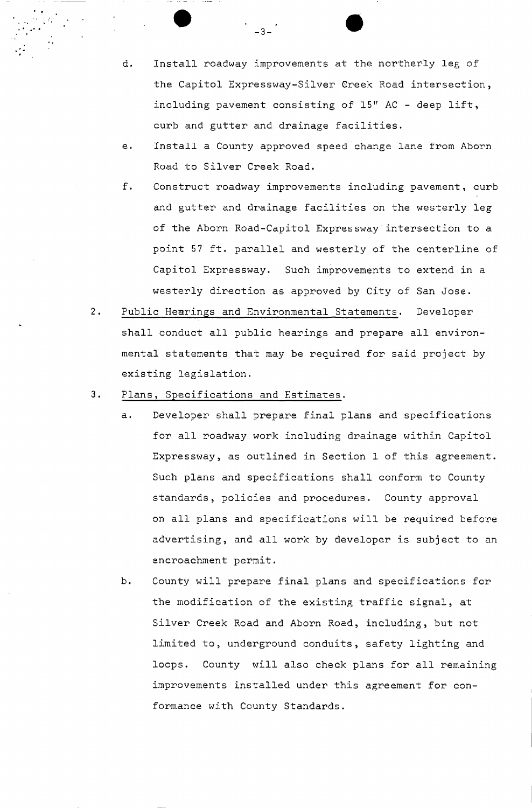d. Install roadway improvements at the northerly leg of the Capitol Expressway-Silver Greek Road intersection, including pavement consisting of 15" AC - deep lift, curb and gutter and drainage facilities.

-3-

- e. Install a County approved speed change lane from Aborn Road to Silver Creek Road.
- f. Construct roadway improvements including pavement, curb and gutter and drainage facilities on the westerly leg of the Aborn Road-Capitol Expressway intersection to a point 57 ft. parallel and westerly of the centerline of Capitol Expressway. Such improvements to extend in a westerly direction as approved by City of San Jose.
- $2.$ Public Hearings and Environmental Statements. Developer shall conduct all public hearings and prepare all environmental statements that may be required for said project by existing legislation.
- $3.$ Plans, Specifications and Estimates.
	- a. Developer shall prepare final plans and specifications for all roadway work including drainage within Capitol Expressway, as outlined in Section 1 of this agreement. Such plans and specifications shall conform to County standards, policies and procedures. County approval on all plans and specifications will be required before advertising, and all work by developer is subject to an encroachment permit.
	- b. County will prepare final plans and specifications for the modification of the existing traffic signal, at Silver Creek Road and Aborn Road, including, but not limited to, underground conduits, safety lighting and loops. County will also check plans for all remaining improvements installed under this agreement for conformance with County Standards.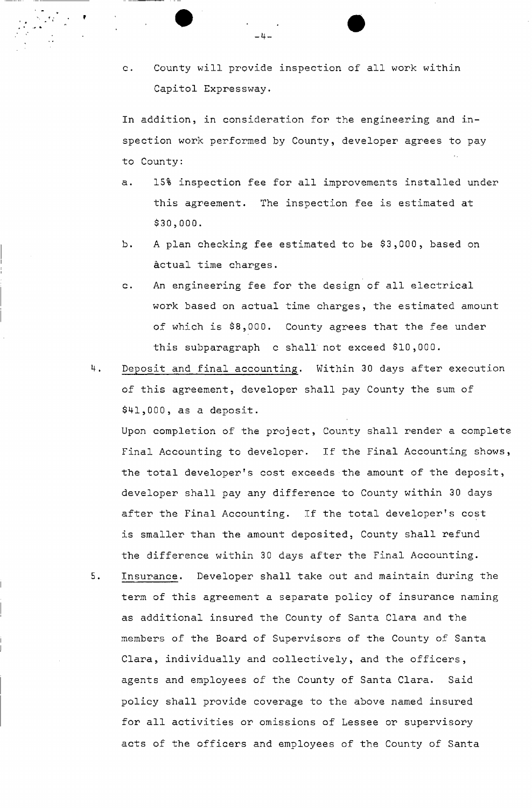c. County will provide inspection of all work within Capitol Expressway.

In addition, in consideration for the engineering and inspection work performed by County, developer agrees to pay to County:

- a. 15% inspection fee for all improvements installed under this agreement. The inspection fee is estimated at \$30,000.
- b. A plan checking fee estimated to be \$3,000, based on actual time charges.
- c. An engineering fee for the design of all electrical work based on actual time charges, the estimated amount of which is \$8,000. County agrees that the fee under this subparagraph c shall' not exceed \$10,000.
- 4. Deposit and final accounting. Within 30 days after execution of this agreement, developer shall pay County the sum of \$41,000, as a deposit.

Upon completion of the project, County shall render a complete Final Accounting to developer. If the Final Accounting shows, the total developer's cost exceeds the amount of the deposit, developer shall pay any difference to County within 30 days after the Final Accounting. If the total developer's cost is smaller than the amount deposited, County shall refund the difference within 30 days after the Final Accounting.

5. Insurance. Developer shall take out and maintain during the term of this agreement a separate policy of insurance naming as additional insured the County of Santa Clara and the members of the Board of Supervisors of the County of Santa Clara, individually and collectively, and the officers, agents and employees of the County of Santa Clara. Said policy shall provide coverage to the above named insured for all activities or omissions of Lessee or supervisory acts of the officers and employees of the County of Santa

 $-4-$ 

?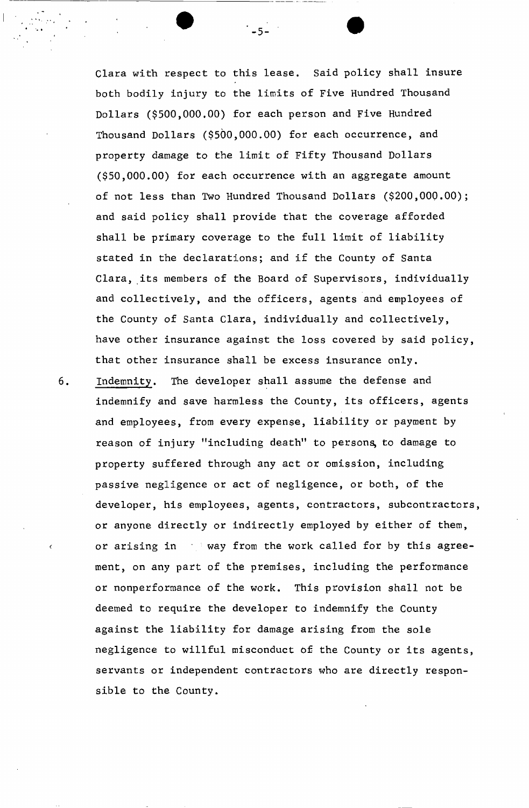Clara with respect to this lease. Said policy shall insure both bodily injury to the limits of Five Hundred Thousand Dollars (\$500,000.00) for each person and Five Hundred Thousand Dollars (\$500,000.00) for each occurrence, and property damage to the limit of Fifty Thousand Dollars (\$50,000.00) for each occurrence with an aggregate amount of not less than Two Hundred Thousand Dollars (\$200,000.00); and said policy shall provide that the coverage afforded shall be primary coverage to the full limit of liability stated in the declarations; and if the County of Santa Clara, its members of the Board of Supervisors, individually and collectively, and the officers, agents and employees of the County of Santa Clara, individually and collectively, have other insurance against the loss covered by said policy, that other insurance shall be excess insurance only.

 $-5 -$ 

6. Indemnity. The developer shall assume the defense and indemnify and save harmless the County, its officers, agents and employees, from every expense, liability or payment by reason of injury "including death" to persons, to damage to property suffered through any act or omission, including passive negligence or act of negligence, or both, of the developer, his employees, agents, contractors, subcontractors, or anyone directly or indirectly employed by either of them, or arising in  $\longrightarrow$  way from the work called for by this agreement, on any part of the premises, including the performance or nonperformance of the work. This provision shall not be deemed to require the developer to indemnify the County against the liability for damage arising from the sole negligence to willful misconduct of the County or its agents, servants or independent contractors who are directly responsible to the County.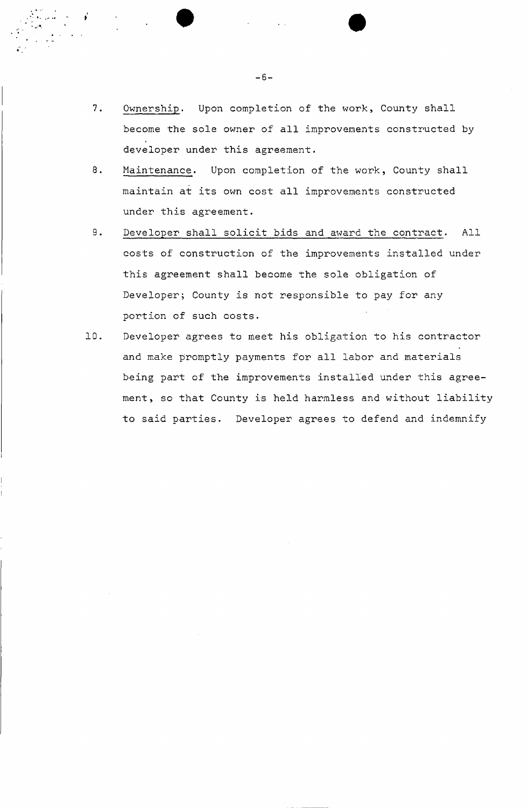- Ownership. Upon completion of the work, County shall  $7.$ become the sole owner of all improvements constructed by developer under this agreement.
- 8. Maintenance. Upon completion of the work, County shall maintain at its own cost all improvements constructed under this agreement.
- $9.$ Developer shall solicit bids and award the contract. All costs of construction of the improvements installed under this agreement shall become the sole obligation of Developer; County is not responsible to pay for any portion of such costs.
- Developer agrees to meet his obligation to his contractor 10. and make promptly payments for all labor and materials being part of the improvements installed under this agreement, so that County is held harmless and without liability to said parties. Developer agrees to defend and indemnify

 $-6-$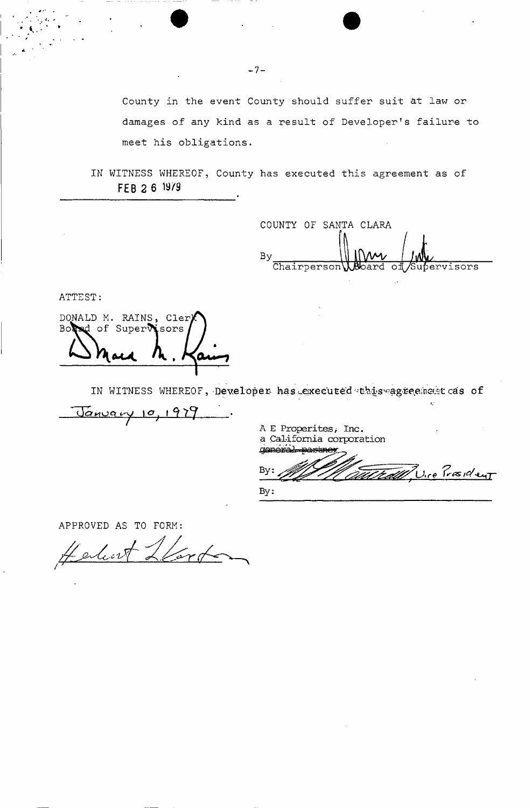County in the event County should suffer suit at law or damages of any kind as a result of Developer's failure to meet his obligations.

IN WITNESS WHEREOF, County has executed this agreement as of **FEB 2 6 19/9** 

COUNTY OF SANTA CLARA By Chairperson **Board** of Supervisors

ATTEST:

DONALD M. RAINS, Cler Board of Supervisors

IN WITNESS WHEREOF, Developer has executed this agreement cas of

<u>Vanuary</u> 10, 1979

A E Properites, Inc. a California corporation general partner

By: Mauted U. e President By:

*i,"* 

APPROVED AS TO FORM:

Verte Herbert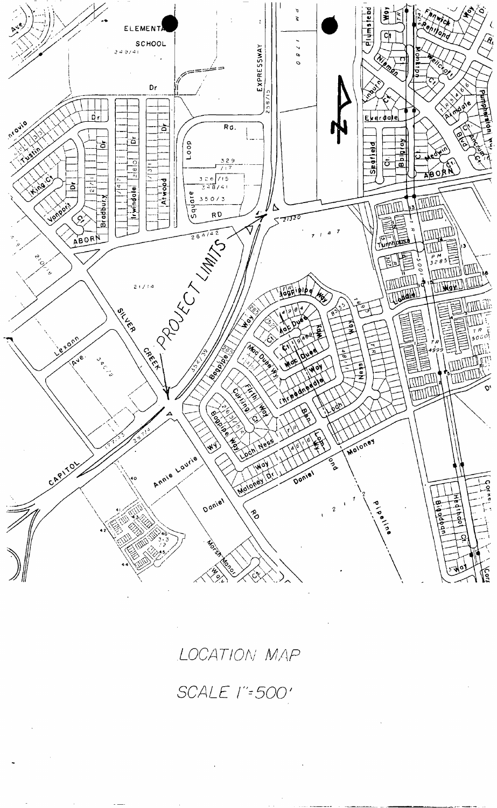

LOCATION MAP

SCALE l"=500'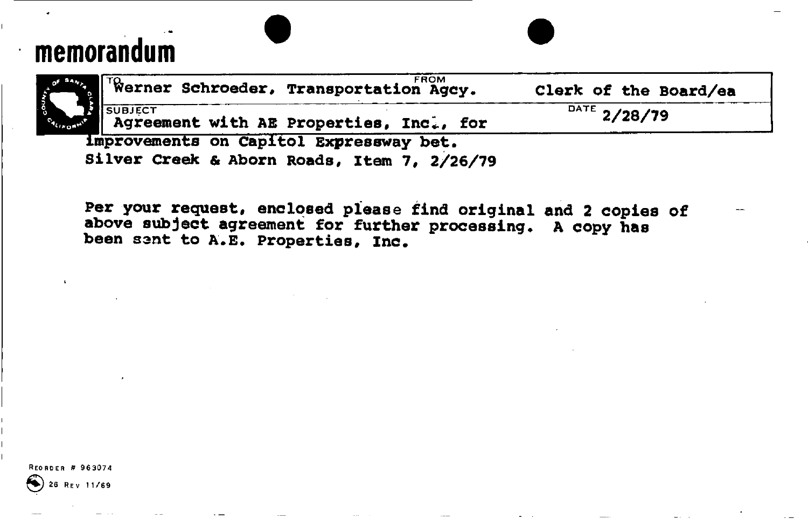# **memorandum**

| Werner Schroeder, Transportation Agcy.                                                 | Clerk of the Board/ea |
|----------------------------------------------------------------------------------------|-----------------------|
| <b>ISUBJECT</b><br>Agreement with AE Properties, Inc., for                             | $^{DATA}$ 2/28/79     |
| Improvements on Capitol Expressway bet.<br>Silver Creek & Aborn Roads, Item 7, 2/26/79 |                       |

**Per your request, enclosed please find original and 2 copies of above subject agreement for further processing. A copy has been sant to A.E. Properties, Inc.** 

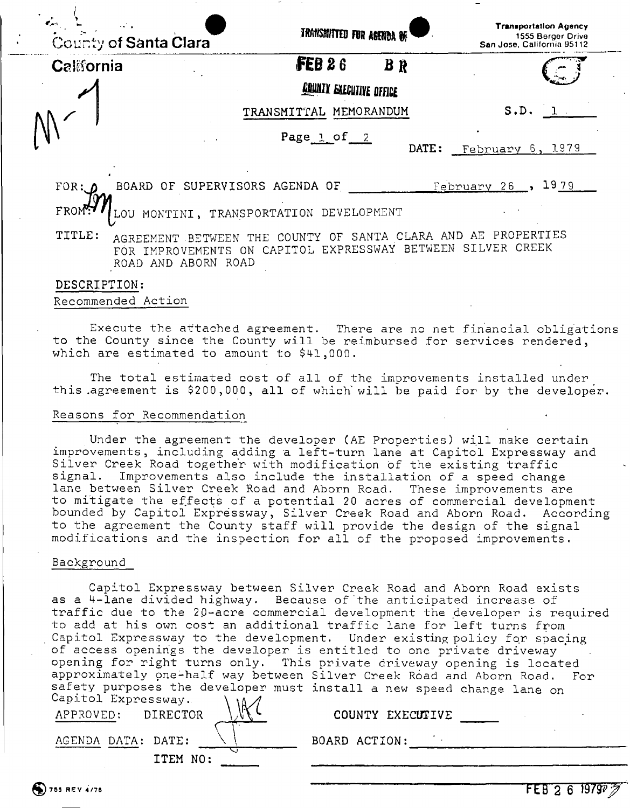| County of Santa Clara | TRANSMITTED FOR AGENOR OF                   | <b>Transportation Agency</b><br>1555 Berger Drive<br>San Jose, California 95112 |
|-----------------------|---------------------------------------------|---------------------------------------------------------------------------------|
| California            | FEB26<br>$B \ R$                            |                                                                                 |
|                       | <b>COUNTY EXECUTIVE OFFICE</b>              |                                                                                 |
|                       | TRANSMITTAL MEMORANDUM                      | S.D.                                                                            |
|                       | Page $1$ of $2$<br>DATE:                    | 1979<br>February 6,                                                             |
| FOR: D                | BOARD OF SUPERVISORS AGENDA OF              | $February$ $26$ ,<br>1979                                                       |
| FROM                  | MONTINI, TRANSPORTATION DEVELOPMENT         |                                                                                 |
| $mmT$ $\sim$          | er seiniri er sauma olana ann ar pooppomire |                                                                                 |

TITLE: AGREEMENT BETWEEN THE COUNTY OF SANTA CLARA AND AE PROPERTIES FOR IMPROVEMENTS ON CAPITOL EXPRESSWAY BETWEEN SILVER CREEK ROAD AND ABORN ROAD

#### DESCRIPTION:

#### Recommended Action

Execute the attached agreement. There are no net financial obligations to the County since the County will be reimbursed for services rendered, which are estimated to amount to \$41,000.

The total estimated cost of all of the improvements installed under this agreement is \$200,000, all of which will be paid for by the developer.

#### Reasons for Recommendation

Under the agreement the developer (AE Properties) will make certain improvements, including adding a left-turn lane at Capitol Expressway and Silver Creek Road together with modification of the existing traffic signal. Improvements also include the installation of a speed change lane between Silver Creek Road and Aborn Road. These improvements are to mitigate the effects of a potential 20 acres of commercial development bounded by Capitol Expressway, Silver Creek Road and Aborn Road. According to the agreement the County staff will provide the design of the signal modifications and the inspection for all of the proposed improvements.

#### Background

Capitol Expressway between Silver Creek Road and Aborn Road exists as a 4-lane divided highway. Because of'the anticipated increase of traffic due to the 20-acre commercial development the developer is required to add at his own cost an additional traffic lane for left turns from Capitol Expressway to the development. Under existing policy for spacing of access openings the developer is entitled to one private driveway opening for right turns only. This private driveway opening is located approximately pne-half way between Silver Creek Road and Aborn Road. For safety purposes the developer must install a new speed change lane on Capitol Expressway.  $\lambda$   $\lambda$   $\Lambda$ 

| $F = 1$ $F = 1$<br>APPROVED: | $\mathsf{W}$<br>DIRECTOR | COUNTY EXECUTIVE |  |
|------------------------------|--------------------------|------------------|--|
| AGENDA DATA: DATE:           |                          | BOARD ACTION:    |  |
|                              | ITEM NO:                 |                  |  |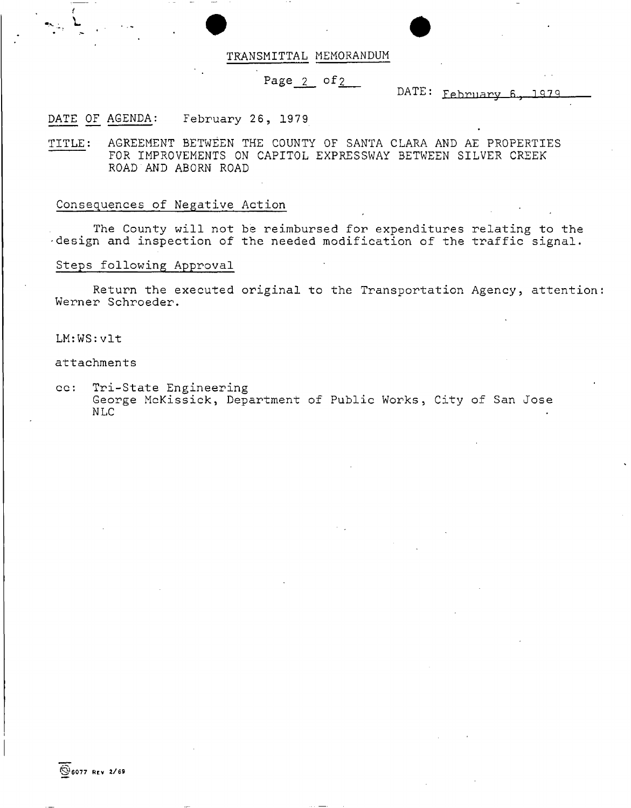# TRANSMITTAL MEMORANDUM

# Page 2 of 2

DATE: **Fphrnar y P 1Q7 <sup>Q</sup>**

## DATE OF AGENDA: February 26, 1979

TITLE: AGREEMENT BETWEEN THE COUNTY OF SANTA CLARA AND AE PROPERTIES FOR IMPROVEMENTS ON CAPITOL EXPRESSWAY BETWEEN SILVER CREEK ROAD AND ABORN ROAD

#### Consequences of Negative Action

The County will not be reimbursed for expenditures relating to the design and inspection of the needed modification of the traffic signal.

#### Steps following Approval

Return the executed original to the Transportation Agency, attention: Werner Schroeder.

LM:WS:vlt

attachments

cc: Tri-State Engineering George McKissick, Department of Public Works, City of San Jose NLC

 $@6077$  REV 2/69